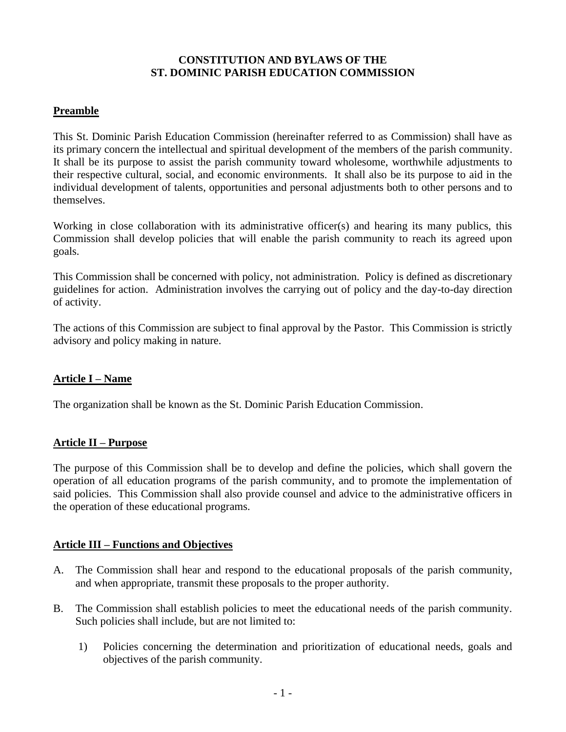#### **CONSTITUTION AND BYLAWS OF THE ST. DOMINIC PARISH EDUCATION COMMISSION**

# **Preamble**

This St. Dominic Parish Education Commission (hereinafter referred to as Commission) shall have as its primary concern the intellectual and spiritual development of the members of the parish community. It shall be its purpose to assist the parish community toward wholesome, worthwhile adjustments to their respective cultural, social, and economic environments. It shall also be its purpose to aid in the individual development of talents, opportunities and personal adjustments both to other persons and to themselves.

Working in close collaboration with its administrative officer(s) and hearing its many publics, this Commission shall develop policies that will enable the parish community to reach its agreed upon goals.

This Commission shall be concerned with policy, not administration. Policy is defined as discretionary guidelines for action. Administration involves the carrying out of policy and the day-to-day direction of activity.

The actions of this Commission are subject to final approval by the Pastor. This Commission is strictly advisory and policy making in nature.

## **Article I – Name**

The organization shall be known as the St. Dominic Parish Education Commission.

## **Article II – Purpose**

The purpose of this Commission shall be to develop and define the policies, which shall govern the operation of all education programs of the parish community, and to promote the implementation of said policies. This Commission shall also provide counsel and advice to the administrative officers in the operation of these educational programs.

## **Article III – Functions and Objectives**

- A. The Commission shall hear and respond to the educational proposals of the parish community, and when appropriate, transmit these proposals to the proper authority.
- B. The Commission shall establish policies to meet the educational needs of the parish community. Such policies shall include, but are not limited to:
	- 1) Policies concerning the determination and prioritization of educational needs, goals and objectives of the parish community.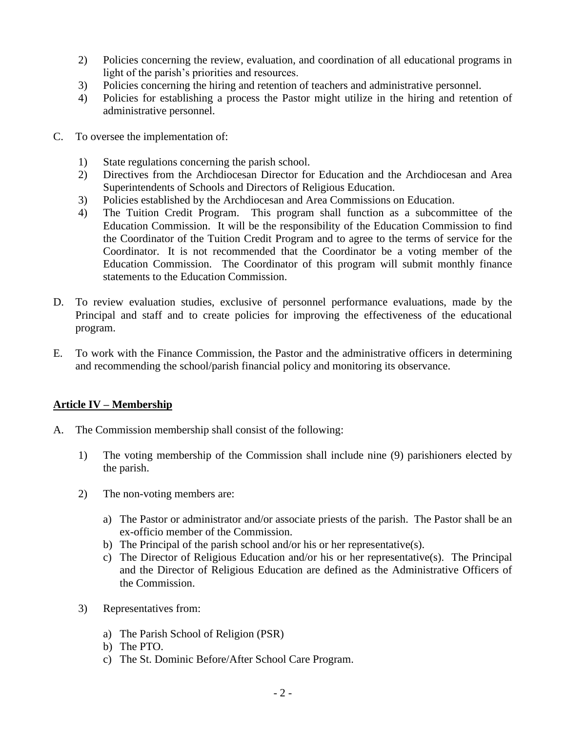- 2) Policies concerning the review, evaluation, and coordination of all educational programs in light of the parish's priorities and resources.
- 3) Policies concerning the hiring and retention of teachers and administrative personnel.
- 4) Policies for establishing a process the Pastor might utilize in the hiring and retention of administrative personnel.
- C. To oversee the implementation of:
	- 1) State regulations concerning the parish school.
	- 2) Directives from the Archdiocesan Director for Education and the Archdiocesan and Area Superintendents of Schools and Directors of Religious Education.
	- 3) Policies established by the Archdiocesan and Area Commissions on Education.
	- 4) The Tuition Credit Program. This program shall function as a subcommittee of the Education Commission. It will be the responsibility of the Education Commission to find the Coordinator of the Tuition Credit Program and to agree to the terms of service for the Coordinator. It is not recommended that the Coordinator be a voting member of the Education Commission. The Coordinator of this program will submit monthly finance statements to the Education Commission.
- D. To review evaluation studies, exclusive of personnel performance evaluations, made by the Principal and staff and to create policies for improving the effectiveness of the educational program.
- E. To work with the Finance Commission, the Pastor and the administrative officers in determining and recommending the school/parish financial policy and monitoring its observance.

## **Article IV – Membership**

- A. The Commission membership shall consist of the following:
	- 1) The voting membership of the Commission shall include nine (9) parishioners elected by the parish.
	- 2) The non-voting members are:
		- a) The Pastor or administrator and/or associate priests of the parish. The Pastor shall be an ex-officio member of the Commission.
		- b) The Principal of the parish school and/or his or her representative(s).
		- c) The Director of Religious Education and/or his or her representative(s). The Principal and the Director of Religious Education are defined as the Administrative Officers of the Commission.
	- 3) Representatives from:
		- a) The Parish School of Religion (PSR)
		- b) The PTO.
		- c) The St. Dominic Before/After School Care Program.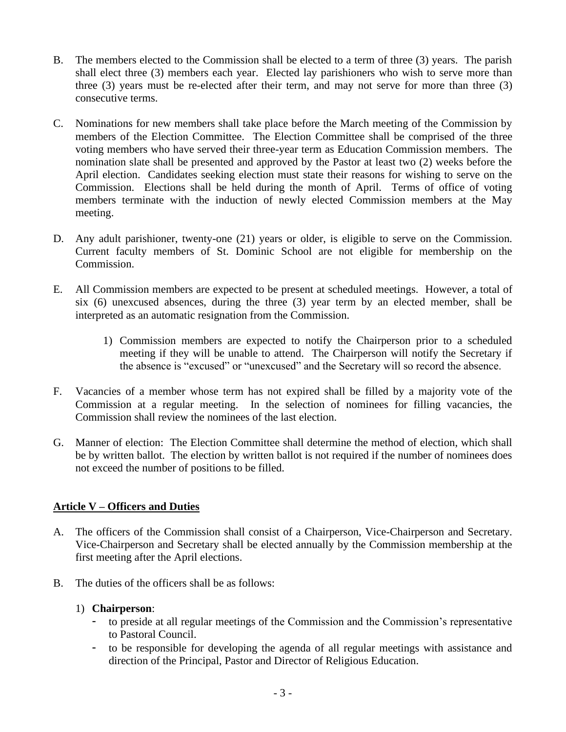- B. The members elected to the Commission shall be elected to a term of three (3) years. The parish shall elect three (3) members each year. Elected lay parishioners who wish to serve more than three (3) years must be re-elected after their term, and may not serve for more than three (3) consecutive terms.
- C. Nominations for new members shall take place before the March meeting of the Commission by members of the Election Committee. The Election Committee shall be comprised of the three voting members who have served their three-year term as Education Commission members. The nomination slate shall be presented and approved by the Pastor at least two (2) weeks before the April election. Candidates seeking election must state their reasons for wishing to serve on the Commission. Elections shall be held during the month of April. Terms of office of voting members terminate with the induction of newly elected Commission members at the May meeting.
- D. Any adult parishioner, twenty-one (21) years or older, is eligible to serve on the Commission. Current faculty members of St. Dominic School are not eligible for membership on the Commission.
- E. All Commission members are expected to be present at scheduled meetings. However, a total of six (6) unexcused absences, during the three (3) year term by an elected member, shall be interpreted as an automatic resignation from the Commission.
	- 1) Commission members are expected to notify the Chairperson prior to a scheduled meeting if they will be unable to attend. The Chairperson will notify the Secretary if the absence is "excused" or "unexcused" and the Secretary will so record the absence.
- F. Vacancies of a member whose term has not expired shall be filled by a majority vote of the Commission at a regular meeting. In the selection of nominees for filling vacancies, the Commission shall review the nominees of the last election.
- G. Manner of election: The Election Committee shall determine the method of election, which shall be by written ballot. The election by written ballot is not required if the number of nominees does not exceed the number of positions to be filled.

## **Article V – Officers and Duties**

- A. The officers of the Commission shall consist of a Chairperson, Vice-Chairperson and Secretary. Vice-Chairperson and Secretary shall be elected annually by the Commission membership at the first meeting after the April elections.
- B. The duties of the officers shall be as follows:

## 1) **Chairperson**:

- to preside at all regular meetings of the Commission and the Commission's representative to Pastoral Council.
- to be responsible for developing the agenda of all regular meetings with assistance and direction of the Principal, Pastor and Director of Religious Education.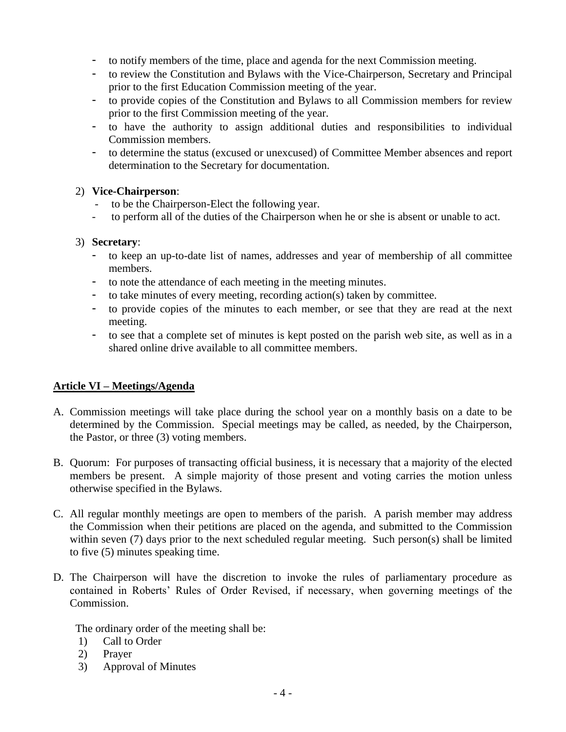- to notify members of the time, place and agenda for the next Commission meeting.
- to review the Constitution and Bylaws with the Vice-Chairperson, Secretary and Principal prior to the first Education Commission meeting of the year.
- to provide copies of the Constitution and Bylaws to all Commission members for review prior to the first Commission meeting of the year.
- to have the authority to assign additional duties and responsibilities to individual Commission members.
- to determine the status (excused or unexcused) of Committee Member absences and report determination to the Secretary for documentation.

#### 2) **Vice-Chairperson**:

- to be the Chairperson-Elect the following year.
- to perform all of the duties of the Chairperson when he or she is absent or unable to act.

#### 3) **Secretary**:

- to keep an up-to-date list of names, addresses and year of membership of all committee members.
- to note the attendance of each meeting in the meeting minutes.
- to take minutes of every meeting, recording action(s) taken by committee.
- to provide copies of the minutes to each member, or see that they are read at the next meeting.
- to see that a complete set of minutes is kept posted on the parish web site, as well as in a shared online drive available to all committee members.

## **Article VI – Meetings/Agenda**

- A. Commission meetings will take place during the school year on a monthly basis on a date to be determined by the Commission. Special meetings may be called, as needed, by the Chairperson, the Pastor, or three (3) voting members.
- B. Quorum: For purposes of transacting official business, it is necessary that a majority of the elected members be present. A simple majority of those present and voting carries the motion unless otherwise specified in the Bylaws.
- C. All regular monthly meetings are open to members of the parish. A parish member may address the Commission when their petitions are placed on the agenda, and submitted to the Commission within seven (7) days prior to the next scheduled regular meeting. Such person(s) shall be limited to five (5) minutes speaking time.
- D. The Chairperson will have the discretion to invoke the rules of parliamentary procedure as contained in Roberts' Rules of Order Revised, if necessary, when governing meetings of the Commission.

The ordinary order of the meeting shall be:

- 1) Call to Order
- 2) Prayer
- 3) Approval of Minutes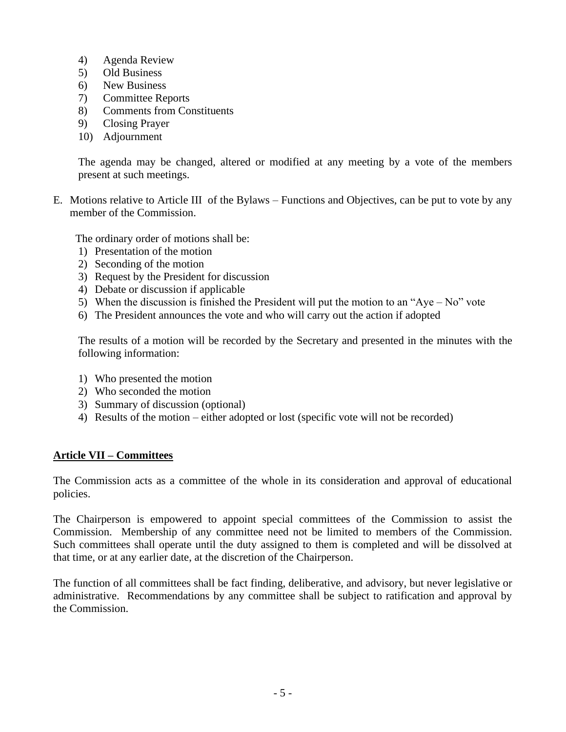- 4) Agenda Review
- 5) Old Business
- 6) New Business
- 7) Committee Reports
- 8) Comments from Constituents
- 9) Closing Prayer
- 10) Adjournment

The agenda may be changed, altered or modified at any meeting by a vote of the members present at such meetings.

E. Motions relative to Article III of the Bylaws – Functions and Objectives, can be put to vote by any member of the Commission.

The ordinary order of motions shall be:

- 1) Presentation of the motion
- 2) Seconding of the motion
- 3) Request by the President for discussion
- 4) Debate or discussion if applicable
- 5) When the discussion is finished the President will put the motion to an "Aye No" vote
- 6) The President announces the vote and who will carry out the action if adopted

The results of a motion will be recorded by the Secretary and presented in the minutes with the following information:

- 1) Who presented the motion
- 2) Who seconded the motion
- 3) Summary of discussion (optional)
- 4) Results of the motion either adopted or lost (specific vote will not be recorded)

#### **Article VII – Committees**

The Commission acts as a committee of the whole in its consideration and approval of educational policies.

The Chairperson is empowered to appoint special committees of the Commission to assist the Commission. Membership of any committee need not be limited to members of the Commission. Such committees shall operate until the duty assigned to them is completed and will be dissolved at that time, or at any earlier date, at the discretion of the Chairperson.

The function of all committees shall be fact finding, deliberative, and advisory, but never legislative or administrative. Recommendations by any committee shall be subject to ratification and approval by the Commission.